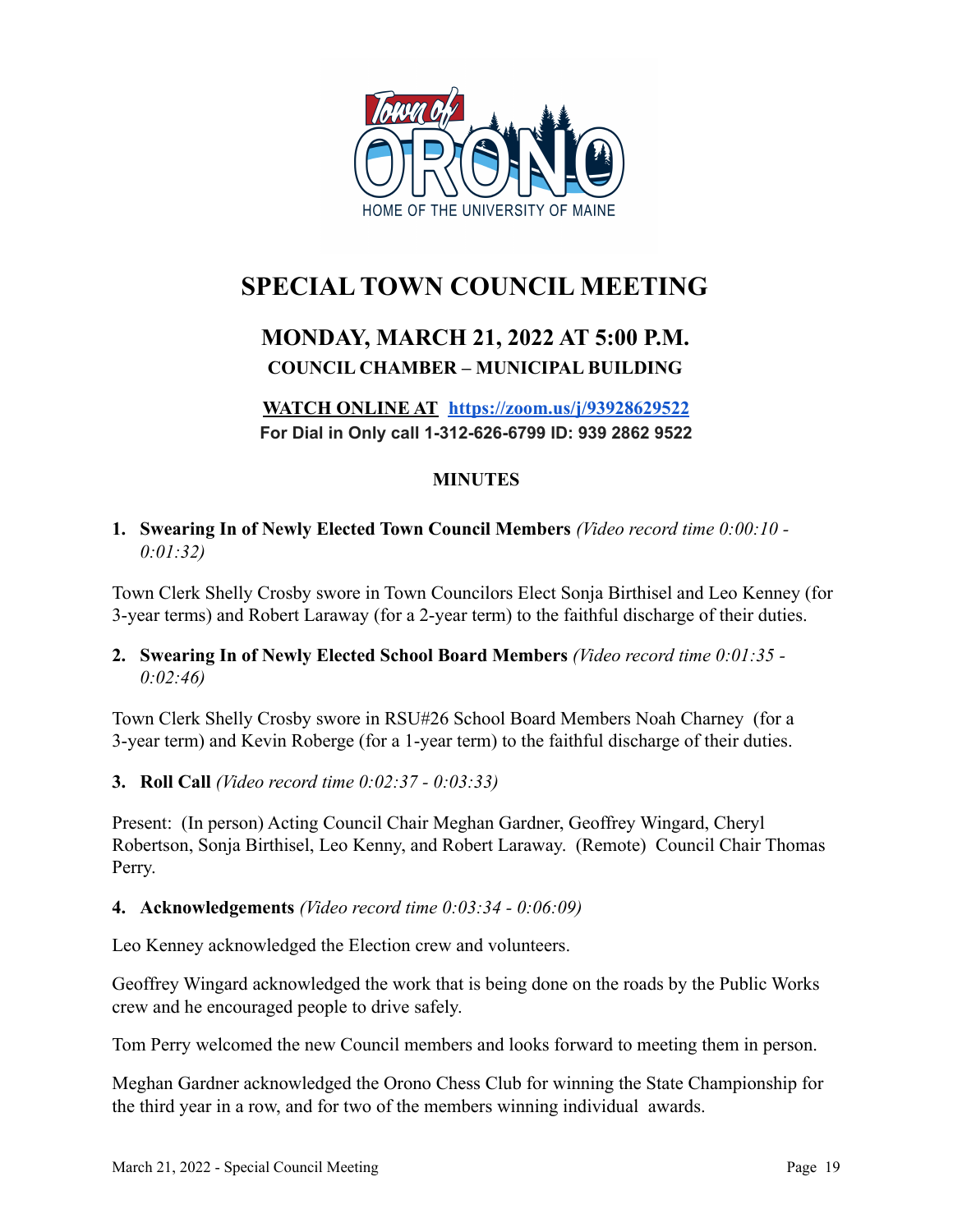

# **SPECIAL TOWN COUNCIL MEETING**

## **MONDAY, MARCH 21, 2022 AT 5:00 P.M. COUNCIL CHAMBER – MUNICIPAL BUILDING**

**WATCH ONLINE AT <https://zoom.us/j/93928629522> For Dial in Only call 1-312-626-6799 ID: 939 2862 9522**

### **MINUTES**

**1. Swearing In of Newly Elected Town Council Members** *(Video record time 0:00:10 - 0:01:32)*

Town Clerk Shelly Crosby swore in Town Councilors Elect Sonja Birthisel and Leo Kenney (for 3-year terms) and Robert Laraway (for a 2-year term) to the faithful discharge of their duties.

#### **2. Swearing In of Newly Elected School Board Members** *(Video record time 0:01:35 - 0:02:46)*

Town Clerk Shelly Crosby swore in RSU#26 School Board Members Noah Charney (for a 3-year term) and Kevin Roberge (for a 1-year term) to the faithful discharge of their duties.

#### **3. Roll Call** *(Video record time 0:02:37 - 0:03:33)*

Present: (In person) Acting Council Chair Meghan Gardner, Geoffrey Wingard, Cheryl Robertson, Sonja Birthisel, Leo Kenny, and Robert Laraway. (Remote) Council Chair Thomas Perry.

#### **4. Acknowledgements** *(Video record time 0:03:34 - 0:06:09)*

Leo Kenney acknowledged the Election crew and volunteers.

Geoffrey Wingard acknowledged the work that is being done on the roads by the Public Works crew and he encouraged people to drive safely.

Tom Perry welcomed the new Council members and looks forward to meeting them in person.

Meghan Gardner acknowledged the Orono Chess Club for winning the State Championship for the third year in a row, and for two of the members winning individual awards.